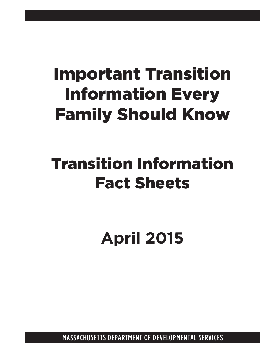# Important Transition Information Every Family Should Know

# Transition Information Fact Sheets

**April 2015**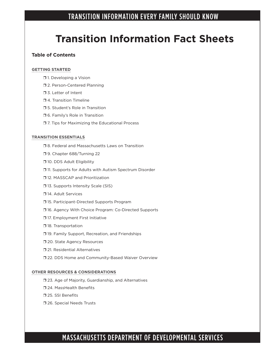## **Transition Information Fact Sheets**

#### **Table of Contents**

#### **GETTING STARTED**

- $\Box$  1. Developing a Vision
- **12. Person-Centered Planning**
- **J** 3. Letter of Intent
- $\Box$  4. Transition Timeline
- □ 5. Student's Role in Transition
- $\square$  6. Family's Role in Transition
- $\square$  7. Tips for Maximizing the Educational Process

#### **TRANSITION ESSENTIALS**

- □ 8. Federal and Massachusetts Laws on Transition
- **J** 9. Chapter 688/Turning 22
- **10. DDS Adult Eligibility**
- $\Box$  11. Supports for Adults with Autism Spectrum Disorder
- □ 12. MASSCAP and Prioritization
- **13. Supports Intensity Scale (SIS)**
- $\Box$  14. Adult Services
- □ 15. Participant-Directed Supports Program
- □ 16. Agency With Choice Program: Co-Directed Supports
- **J17. Employment First Initiative**
- $\square$  18. Transportation
- **19. Family Support, Recreation, and Friendships**
- **J** 20. State Agency Resources
- $\square$  21. Residential Alternatives
- □ 22. DDS Home and Community-Based Waiver Overview

#### **OTHER RESOURCES & CONSIDERATIONS**

- □ 23. Age of Majority, Guardianship, and Alternatives
- □ 24. MassHealth Benefits
- □ 25. SSI Benefits
- **726. Special Needs Trusts**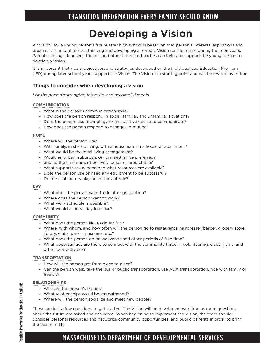## **Developing a Vision**

A "Vision" for a young person's future after high school is based on that person's interests, aspirations and dreams. It is helpful to start thinking and developing a realistic Vision for the future during the teen years. Parents, siblings, teachers, friends, and other interested parties can help and support the young person to develop a Vision.

It is important that goals, objectives, and strategies developed on the Individualized Education Program (IEP) during later school years support the Vision. The Vision is a starting point and can be revised over time.

#### **Things to consider when developing a vision**

*List the person's strengths, interests, and accomplishments.*

#### **COMMUNICATION**

- » What is the person's communication style?
- » How does the person respond in social, familiar, and unfamiliar situations?
- » Does the person use technology or an assistive device to communicate?
- » How does the person respond to changes in routine?

#### **HOME**

- » Where will the person live?
- » With family, in shared living, with a housemate, in a house or apartment?
- » What would be the ideal living arrangement?
- » Would an urban, suburban, or rural setting be preferred?
- » Should the environment be lively, quiet, or predictable?
- » What supports are needed and what resources are available?
- » Does the person use or need any equipment to be successful?
- » Do medical factors play an important role?

#### **DAY**

- » What does the person want to do after graduation?
- » Where does the person want to work?
- » What work schedule is possible?
- » What would an ideal day look like?

#### **COMMUNITY**

- » What does the person like to do for fun?
- » Where, with whom, and how often will the person go to restaurants, hairdresser/barber, grocery store, library, clubs, parks, museums, etc.?
- » What does the person do on weekends and other periods of free time?
- » What opportunities are there to connect with the community through volunteering, clubs, gyms, and other local activities?

#### **TRANSPORTATION**

- » How will the person get from place to place?
- » Can the person walk, take the bus or public transportation, use ADA transportation, ride with family or friends?

#### **RELATIONSHIPS**

- » Who are the person's friends?
- » What relationships could be strengthened?
- » Where will the person socialize and meet new people?

These are just a few questions to get started. The Vision will be developed over time as more questions about the future are asked and answered. When beginning to implement the Vision, the team should consider personal resources and networks, community opportunities, and public benefits in order to bring the Vision to life.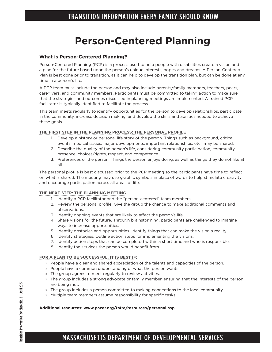## **Person-Centered Planning**

#### **What is Person-Centered Planning?**

Person-Centered Planning (PCP) is a process used to help people with disabilities create a vision and a plan for the future based upon the person's unique interests, hopes and dreams. A Person-Centered Plan is best done prior to transition, as it can help to develop the transition plan, but can be done at any time in a person's life.

A PCP team must include the person and may also include parents/family members, teachers, peers, caregivers, and community members. Participants must be committed to taking action to make sure that the strategies and outcomes discussed in planning meetings are implemented. A trained PCP facilitator is typically identified to facilitate the process.

This team meets regularly to identify opportunities for the person to develop relationships, participate in the community, increase decision making, and develop the skills and abilities needed to achieve these goals.

#### **THE FIRST STEP IN THE PLANNING PROCESS: THE PERSONAL PROFILE**

- 1. Develop a history or personal life story of the person. Things such as background, critical events, medical issues, major developments, important relationships, etc., may be shared.
- 2. Describe the quality of the person's life, considering community participation, community presence, choices/rights, respect, and competence.
- 3. Preferences of the person. Things the person enjoys doing, as well as things they do not like at all.

The personal profile is best discussed prior to the PCP meeting so the participants have time to reflect on what is shared. The meeting may use graphic symbols in place of words to help stimulate creativity and encourage participation across all areas of life.

#### **THE NEXT STEP: THE PLANNING MEETING**

- 1. Identify a PCP facilitator and the "person-centered" team members.
- 2. Review the personal profile. Give the group the chance to make additional comments and observations.
- 3. Identify ongoing events that are likely to affect the person's life.
- 4. Share visions for the future. Through brainstorming, participants are challenged to imagine ways to increase opportunities.
- 5. Identify obstacles and opportunities. Identify things that can make the vision a reality.
- 6. Identify strategies. Outline action steps for implementing the visions.
- 7. Identify action steps that can be completed within a short time and who is responsible.
- 8. Identify the services the person would benefit from.

#### **FOR A PLAN TO BE SUCCESSFUL, IT IS BEST IF:**

- » People have a clear and shared appreciation of the talents and capacities of the person.
- » People have a common understanding of what the person wants.
- » The group agrees to meet regularly to review activities.
- » The group includes a strong advocate or family member, ensuring that the interests of the person are being met.
- » The group includes a person committed to making connections to the local community.
- » Multiple team members assume responsibility for specific tasks.

#### **Additional resources: www.pacer.org/tatra/resources/personal.asp**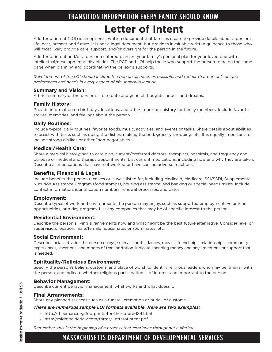## TRANSITION INFORMATION EVERY FAMILY SHOULD KNOW **Letter of Intent**

A letter of intent (LOI) is an optional, written document that families create to provide details about a person's life: past, present and future. It is not a legal document, but provides invaluable written guidance to those who will most likely provide care, support, and/or oversight for the person in the future.

A letter of intent and/or a person-centered plan are your family's personal plan for your loved one with intellectual/developmental disabilities. The PCP and LOI help those who support the person to be on the same page when planning and coordinating the person's supports.

*Development of the LOI should include the person as much as possible, and reflect that person's unique preferences and needs in every aspect of life. It should include:*

#### **Summary and Vision:**

A brief summary of the person's life to date and general thoughts, hopes, and dreams.

#### **Family History:**

Provide information on birthdays, locations, and other important history for family members. Include favorite stories, memories, and feelings about the person.

#### **Daily Routines:**

Include typical daily routines, favorite foods, music, activities, and events or tasks. Share details about abilities to assist with tasks such as doing the dishes, making the bed, grocery shopping, etc. It is equally important to include strong dislikes or other "non-negotiables."

#### **Medical/Health Care:**

Share a medical history/health care plan, current/preferred doctors, therapists, hospitals, and frequency and purpose of medical and therapy appointments. List current medications, including how and why they are taken. Describe all medications that have not worked or have caused adverse reactions.

#### **Benefits, Financial & Legal:**

Include benefits the person receives or is wait-listed for, including Medicaid, Medicare, SSI/SSDI, Supplemental Nutrition Assistance Program (food stamps), housing assistance, and banking or special needs trusts. Include contact information, identification numbers, renewal processes, and dates.

#### **Employment:**

Describe types of work and environments the person may enjoy, such as supported employment, volunteer opportunities, or a day program. List any companies that may be of specific interest to the person.

#### **Residential Environment:**

Describe the person's living arrangements now and what might be the best future alternative. Consider level of supervision, location, male/female housemates or roommates, etc.

#### **Social Environment:**

Describe social activities the person enjoys, such as sports, dances, movies, friendships, relationships, community experiences, vacations, and modes of transportation. Indicate spending money and any limitations or support that is needed.

#### **Spirituality/Religious Environment:**

Specify the person's beliefs, customs, and place of worship. Identify religious leaders who may be familiar with the person, and indicate whether religious participation is of interest and important to the person.

#### **Behavior Management:**

Describe current behavior management: what works and what doesn't.

#### **Final Arrangements:**

Share any planned services such as a funeral, cremation or burial, or customs.

#### *There are numerous sample LOI formats available. Here are two examples:*

- » http://theemarc.org/footprints-for-the-future-184.html
- » http://midmoelderlaw.com/forms/LetterofIntent.pdf

*Remember, this is the beginning of a process that continues throughout a lifetime.*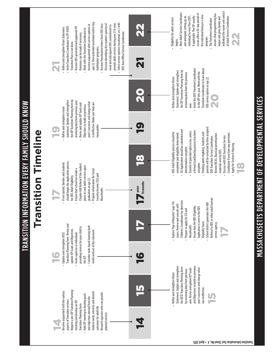

MASSACHUSETTS DEPARTMENT OF DEVELOPMENTAL SERVICES MASSACHUSETTS DEPARTMENT OF DEVELOPMENTAL SERVICES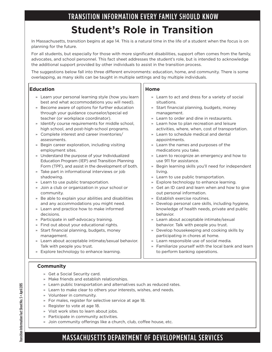## TRANSITION INFORMATION EVERY FAMILY SHOULD KNOW **Student's Role in Transition**

In Massachusetts, transition begins at age 14. This is a natural time in the life of a student when the focus is on planning for the future.

For all students, but especially for those with more significant disabilities, support often comes from the family, advocates, and school personnel. This fact sheet addresses the student's role, but is intended to acknowledge the additional support provided by other individuals to assist in the transition process.

The suggestions below fall into three different environments: education, home, and community. There is some overlapping, as many skills can be taught in multiple settings and by multiple individuals.

#### **Education**

- » Learn your personal learning style (how you learn best and what accommodations you will need).
- » Become aware of options for further education through your guidance counselor/special ed teacher (or workplace coordinator).
- » Identify course requirements for middle school, high school, and post-high-school programs.
- » Complete interest and career inventories/ assessments.
- » Begin career exploration, including visiting employment sites.
- » Understand the purpose of your Individualized Education Program (IEP) and Transition Planning Form (TPF), and assist in the development of both.
- » Take part in informational interviews or job shadowing.
- » Learn to use public transportation.
- » Join a club or organization in your school or community.
- » Be able to explain your abilities and disabilities and any accommodations you might need.
- » Learn and practice how to make informed decisions.
- » Participate in self-advocacy training.
- » Find out about your educational rights.
- » Start financial planning, budgets, money management.
- » Learn about acceptable intimate/sexual behavior. Talk with people you trust.
- » Explore technology to enhance learning.

#### **Community**

- » Get a Social Security card.
- » Make friends and establish relationships.
- » Learn public transportation and alternatives such as reduced rates.
- » Learn to make clear to others your interests, wishes, and needs.
	- » Volunteer in community.
	- » For males, register for selective service at age 18.
	- » Register to vote at age 18.
	- » Visit work sites to learn about jobs.
	- » Participate in community activities.
	- » Join community offerings like a church, club, coffee house, etc.

#### **Home**

- » Learn to act and dress for a variety of social situations.
- » Start financial planning, budgets, money management.
- » Learn to order and dine in restaurants.
- » Learn how to plan recreation and leisure activities, where, when, cost of transportation.
- » Learn to schedule medical and dental appointments.
- » Learn the names and purposes of the medications you take.
- » Learn to recognize an emergency and how to use 911 for assistance.
- » Begin learning skills you'll need for independent living.
- » Learn to use public transportation.
- » Explore technology to enhance learning.
- » Get an ID card and learn when and how to give out personal information.
- » Establish exercise routines.
- » Develop personal care skills, including hygiene, knowledge of health needs, private and public behavior.
- » Learn about acceptable intimate/sexual behavior. Talk with people you trust.
- » Develop housekeeping and cooking skills by participating in chores at home.
- » Learn responsible use of social media.
- » Familiarize yourself with the local bank and learn to perform banking operations.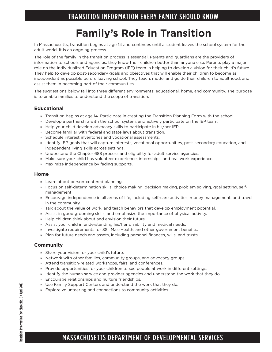## **Family's Role in Transition**

In Massachusetts, transition begins at age 14 and continues until a student leaves the school system for the adult world. It is an ongoing process.

The role of the family in the transition process is essential. Parents and guardians are the providers of information to schools and agencies; they know their children better than anyone else. Parents play a major role on the Individualized Education Program (IEP) team in helping to develop a vision for their child's future. They help to develop post-secondary goals and objectives that will enable their children to become as independent as possible before leaving school. They teach, model and guide their children to adulthood, and assist them in becoming part of their communities.

The suggestions below fall into three different environments: educational, home, and community. The purpose is to enable families to understand the scope of transition.

#### **Educational**

- » Transition begins at age 14. Participate in creating the Transition Planning Form with the school.
- » Develop a partnership with the school system, and actively participate on the IEP team.
- » Help your child develop advocacy skills to participate in his/her IEP.
- » Become familiar with federal and state laws about transition.
- » Schedule interest inventories and vocational assessments.
- » Identify IEP goals that will capture interests, vocational opportunities, post-secondary education, and independent living skills across settings.
- » Understand the Chapter 688 process and eligibility for adult service agencies.
- » Make sure your child has volunteer experience, internships, and real work experience.
- » Maximize independence by fading supports.

#### **Home**

- » Learn about person-centered planning.
- » Focus on self-determination skills: choice making, decision making, problem solving, goal setting, selfmanagement.
- » Encourage independence in all areas of life, including self-care activities, money management, and travel in the community.
- » Talk about the value of work, and teach behaviors that develop employment potential.
- » Assist in good grooming skills, and emphasize the importance of physical activity.
- » Help children think about and envision their future.
- » Assist your child in understanding his/her disability and medical needs.
- » Investigate requirements for SSI, MassHealth, and other government benefits.
- » Plan for future needs and assets, including personal finances, wills, and trusts.

#### **Community**

- » Share your vision for your child's future.
- » Network with other families, community groups, and advocacy groups.
- » Attend transition-related workshops, fairs, and conferences.
- » Provide opportunities for your children to see people at work in different settings.
- » Identify the human service and provider agencies and understand the work that they do.
- » Encourage relationships and nurture friendships.
- » Use Family Support Centers and understand the work that they do.
- » Explore volunteering and connections to community activities.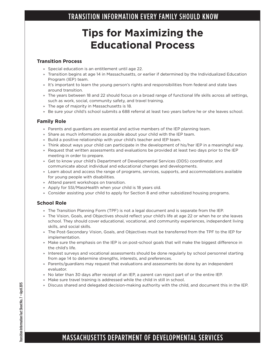## **Tips for Maximizing the Educational Process**

#### **Transition Process**

- » Special education is an entitlement until age 22.
- » Transition begins at age 14 in Massachusetts, or earlier if determined by the Individualized Education Program (IEP) team.
- » It's important to learn the young person's rights and responsibilities from federal and state laws around transition.
- » The years between 18 and 22 should focus on a broad range of functional life skills across all settings, such as work, social, community safety, and travel training.
- » The age of majority in Massachusetts is 18.
- » Be sure your child's school submits a 688 referral at least two years before he or she leaves school.

#### **Family Role**

- » Parents and guardians are essential and active members of the IEP planning team.
- » Share as much information as possible about your child with the IEP team.
- » Build a positive relationship with your child's teacher and IEP team.
- » Think about ways your child can participate in the development of his/her IEP in a meaningful way.
- » Request that written assessments and evaluations be provided at least two days prior to the IEP meeting in order to prepare.
- » Get to know your child's Department of Developmental Services (DDS) coordinator, and communicate about individual and educational changes and developments.
- » Learn about and access the range of programs, services, supports, and accommodations available for young people with disabilities.
- » Attend parent workshops on transition.
- » Apply for SSI/MassHealth when your child is 18 years old.
- » Consider assisting your child to apply for Section 8 and other subsidized housing programs.

#### **School Role**

- » The Transition Planning Form (TPF) is not a legal document and is separate from the IEP.
- » The Vision, Goals, and Objectives should reflect your child's life at age 22 or when he or she leaves school. They should cover educational, vocational, and community experiences, independent living skills, and social skills.
- » The Post-Secondary Vision, Goals, and Objectives must be transferred from the TPF to the IEP for implementation.
- » Make sure the emphasis on the IEP is on post-school goals that will make the biggest difference in the child's life.
- » Interest surveys and vocational assessments should be done regularly by school personnel starting from age 14 to determine strengths, interests, and preferences.
- » Parents/guardians may request that evaluations and assessments be done by an independent evaluator.
- » No later than 30 days after receipt of an IEP, a parent can reject part of or the entire IEP.
- » Make sure travel training is addressed while the child in still in school.
- » Discuss shared and delegated decision-making authority with the child, and document this in the IEP.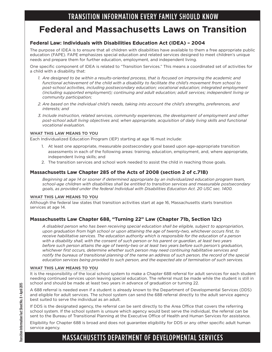### **Federal and Massachusetts Laws on Transition**

#### **Federal Law: Individuals with Disabilities Education Act (IDEA) – 2004**

The purpose of IDEA is to ensure that all children with disabilities have available to them a free appropriate public education (FAPE). FAPE emphasizes special education and related services designed to meet children's unique needs and prepare them for further education, employment, and independent living.

One specific component of IDEA is related to "Transition Services." This means a coordinated set of activities for a child with a disability that:

- *1. Are designed to be within a results-oriented process, that is focused on improving the academic and functional achievement of the child with a disability to facilitate the child's movement from school to post-school activities, including postsecondary education; vocational education; integrated employment (including supported employment); continuing and adult education; adult services; independent living or community participation;*
- *2. Are based on the individual child's needs, taking into account the child's strengths, preferences, and interests; and*
- *3. Include instruction, related services, community experiences, the development of employment and other post-school adult living objectives and, when appropriate, acquisition of daily living skills and functional vocational evaluation.*

#### **WHAT THIS LAW MEANS TO YOU**

Each Individualized Education Program (IEP) starting at age 16 must include:

- 1. At least one appropriate, measurable postsecondary goal based upon age-appropriate transition assessments in each of the following areas: training, education, employment, and, where appropriate, independent living skills; and
- 2. The transition services and school work needed to assist the child in reaching those goals.

#### **Massachusetts Law Chapter 285 of the Acts of 2008 (section 2 of c.71B)**

*Beginning at age 14 or sooner if determined appropriate by an individualized education program team, school-age children with disabilities shall be entitled to transition services and measurable postsecondary goals, as provided under the federal Individual with Disabilities Education Act. 20 USC sec. 1400.*

#### **WHAT THIS LAW MEANS TO YOU**

Although the federal law states that transition activities start at age 16, Massachusetts starts transition services at age 14.

#### **Massachusetts Law Chapter 688, "Turning 22" Law (Chapter 71b, Section 12c)**

*A disabled person who has been receiving special education shall be eligible, subject to appropriation, upon graduation from high school or upon attaining the age of twenty-two, whichever occurs first, to receive habilitative services. The education authority which is responsible for the education of a person with a disability shall, with the consent of such person or his parent or guardian, at least two years before such person attains the age of twenty-two or at least two years before such person's graduation, whichever first occurs, determine whether such person may need continuing habilitative services and notify the bureaus of transitional planning of the name an address of such person, the record of the special education services being provided to such person, and the expected ate of termination of such services.*

#### **WHAT THIS LAW MEANS TO YOU**

It is the responsibility of the local school system to make a Chapter 688 referral for adult services for each student needing continued services upon leaving special education. The referral must be made while the student is still in school and should be made at least two years in advance of graduation or turning 22.

A 688 referral is needed even if a student is already known to the Department of Developmental Services (DDS) and eligible for adult services. The school system can send the 688 referral directly to the adult service agency best suited to serve the individual as an adult.

If DDS is the designated agency, the referral can be sent directly to the Area Office that covers the referring school system. If the school system is unsure which agency would best serve the individual, the referral can be sent to the Bureau of Transitional Planning at the Executive Office of Health and Human Services for assistance.

Eligibility for Chapter 688 is broad and does not guarantee eligibility for DDS or any other specific adult human service agency.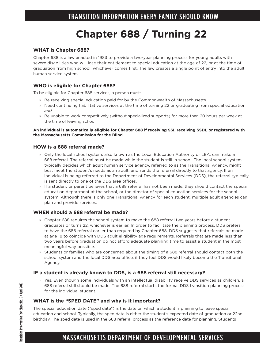## **Chapter 688 / Turning 22**

#### **WHAT is Chapter 688?**

Chapter 688 is a law enacted in 1983 to provide a two-year planning process for young adults with severe disabilities who will lose their entitlement to special education at the age of 22, or at the time of graduation from high school, whichever comes first. The law creates a single point of entry into the adult human service system.

#### **WHO is eligible for Chapter 688?**

To be eligible for Chapter 688 services, a person must:

- » Be receiving special education paid for by the Commonwealth of Massachusetts
- » Need continuing habilitative services at the time of turning 22 or graduating from special education, *and*
- » Be unable to work competitively (without specialized supports) for more than 20 hours per week at the time of leaving school.

#### **An individual is automatically eligible for Chapter 688 if receiving SSI, receiving SSDI, or registered with the Massachusetts Commission for the Blind.**

#### **HOW is a 688 referral made?**

- » Only the local school system, also known as the Local Education Authority or LEA, can make a 688 referral. The referral must be made while the student is still in school. The local school system typically decides which adult human service agency, referred to as the Transitional Agency, might best meet the student's needs as an adult, and sends the referral directly to that agency. If an individual is being referred to the Department of Developmental Services (DDS), the referral typically is sent directly to one of the DDS area offices.
- » If a student or parent believes that a 688 referral has not been made, they should contact the special education department at the school, or the director of special education services for the school system. Although there is only one Transitional Agency for each student, multiple adult agencies can plan and provide services.

#### **WHEN should a 688 referral be made?**

- » Chapter 688 requires the school system to make the 688 referral two years before a student graduates or turns 22, whichever is earlier. In order to facilitate the planning process, DDS prefers to have the 688 referral earlier than required by Chapter 688. DDS suggests that referrals be made at age 18 to coincide with DDS adult eligibility age requirements. Referrals that are made less than two years before graduation do not afford adequate planning time to assist a student in the most meaningful way possible.
- » Students or families who are concerned about the timing of a 688 referral should contact both the school system and the local DDS area office, if they feel DDS would likely become the Transitional Agency.

#### **IF a student is already known to DDS, is a 688 referral still necessary?**

» Yes. Even though some individuals with an intellectual disability receive DDS services as children, a 688 referral still should be made. The 688 referral starts the formal DDS transition planning process for the individual student.

#### **WHAT is the "SPED DATE" and why is it important?**

The special education date ("sped date") is the date on which a student is planning to leave special education and school. Typically, the sped date is either the student's expected date of graduation or 22nd birthday. The sped date is used in the 688 referral process as the reference date for planning. Students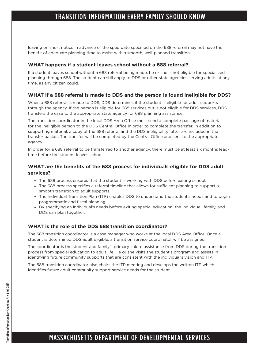leaving on short notice in advance of the sped date specified on the 688 referral may not have the benefit of adequate planning time to assist with a smooth, well-planned transition.

#### **WHAT happens if a student leaves school without a 688 referral?**

If a student leaves school without a 688 referral being made, he or she is not eligible for specialized planning through 688. The student can still apply to DDS or other state agencies serving adults at any time, as any citizen could.

#### **WHAT if a 688 referral is made to DDS and the person is found ineligible for DDS?**

When a 688 referral is made to DDS, DDS determines if the student is eligible for adult supports through the agency. If the person is eligible for 688 services but is not eligible for DDS services, DDS transfers the case to the appropriate state agency for 688 planning assistance.

The transition coordinator in the local DDS Area Office must send a complete package of material for the ineligible person to the DDS Central Office in order to complete the transfer. In addition to supporting material, a copy of the 688 referral and the DDS ineligibility letter are included in the transfer packet. The transfer will be completed by the Central Office and sent to the appropriate agency.

In order for a 688 referral to be transferred to another agency, there must be at least six months leadtime before the student leaves school.

#### **WHAT are the benefits of the 688 process for individuals eligible for DDS adult services?**

- » The 688 process ensures that the student is working with DDS before exiting school.
- » The 688 process specifies a referral timeline that allows for sufficient planning to support a smooth transition to adult supports.
- » The Individual Transition Plan (ITP) enables DDS to understand the student's needs and to begin programmatic and fiscal planning.
- » By specifying an individual's needs before exiting special education, the individual, family, and DDS can plan together.

#### **WHAT is the role of the DDS 688 transition coordinator?**

The 688 transition coordinator is a case manager who works at the local DDS Area Office. Once a student is determined DDS adult eligible, a transition service coordinator will be assigned.

The coordinator is the student and family's primary link to assistance from DDS during the transition process from special education to adult life. He or she visits the student's program and assists in identifying future community supports that are consistent with the individual's vision and ITP.

The 688 transition coordinator also chairs the ITP meeting and develops the written ITP which identifies future adult community support service needs for the student.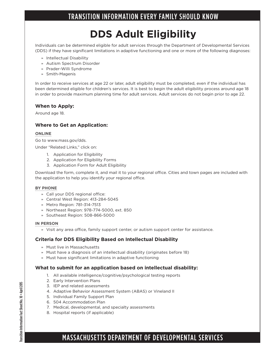## **DDS Adult Eligibility**

Individuals can be determined eligible for adult services through the Department of Developmental Services (DDS) if they have significant limitations in adaptive functioning and one or more of the following diagnoses:

- » Intellectual Disability
- » Autism Spectrum Disorder
- » Prader-Willi Syndrome
- » Smith-Magenis

In order to receive services at age 22 or later, adult eligibility must be completed, even if the individual has been determined eligible for children's services. It is best to begin the adult eligibility process around age 18 in order to provide maximum planning time for adult services. Adult services do not begin prior to age 22.

#### **When to Apply:**

Around age 18.

#### **Where to Get an Application:**

#### **ONLINE**

Go to www.mass.gov/dds.

Under "Related Links," click on:

- 1. Application for Eligibility
- 2. Application for Eligibility Forms
- 3. Application Form for Adult Eligibility

Download the form, complete it, and mail it to your regional office. Cities and town pages are included with the application to help you identify your regional office.

#### **BY PHONE**

- » Call your DDS regional office:
- » Central West Region: 413-284-5045
- » Metro Region: 781-314-7513
- » Northeast Region: 978-774-5000, ext. 850
- » Southeast Region: 508-866-5000

#### **IN PERSON**

» Visit any area office, family support center, or autism support center for assistance.

#### **Criteria for DDS Eligibility Based on Intellectual Disability**

- » Must live in Massachusetts
- » Must have a diagnosis of an intellectual disability (originates before 18)
- » Must have significant limitations in adaptive functioning

#### **What to submit for an application based on intellectual disability:**

- 1. All available intelligence/cognitive/psychological testing reports
- 2. Early Intervention Plans
- 3. IEP and related assessments
- 4. Adaptive Behavior Assessment System (ABAS) or Vineland II
- 5. Individual Family Support Plan
- 6. 504 Accommodation Plan
- 7. Medical, developmental, and specialty assessments
- 8. Hospital reports (if applicable)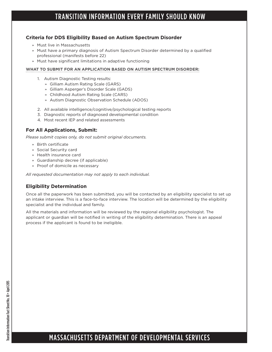#### **Criteria for DDS Eligibility Based on Autism Spectrum Disorder**

- » Must live in Massachusetts
- » Must have a primary diagnosis of Autism Spectrum Disorder determined by a qualified professional (manifests before 22)
- » Must have significant limitations in adaptive functioning

#### **WHAT TO SUBMIT FOR AN APPLICATION BASED ON AUTISM SPECTRUM DISORDER:**

- 1. Autism Diagnostic Testing results:
	- » Gilliam Autism Rating Scale (GARS)
	- » Gilliam Asperger's Disorder Scale (GADS)
	- » Childhood Autism Rating Scale (CARS)
	- » Autism Diagnostic Observation Schedule (ADOS)
- 2. All available intelligence/cognitive/psychological testing reports
- 3. Diagnostic reports of diagnosed developmental condition
- 4. Most recent IEP and related assessments

#### **For All Applications, Submit:**

*Please submit copies only, do not submit original documents.*

- » Birth certificate
- » Social Security card
- » Health insurance card
- » Guardianship decree (if applicable)
- » Proof of domicile as necessary

*All requested documentation may not apply to each individual.*

#### **Eligibility Determination**

Once all the paperwork has been submitted, you will be contacted by an eligibility specialist to set up an intake interview. This is a face-to-face interview. The location will be determined by the eligibility specialist and the individual and family.

All the materials and information will be reviewed by the regional eligibility psychologist. The applicant or guardian will be notified in writing of the eligibility determination. There is an appeal process if the applicant is found to be ineligible.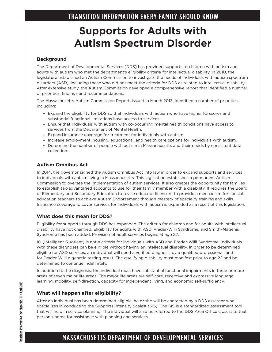## **Supports for Adults with Autism Spectrum Disorder**

#### **Background**

The Department of Developmental Services (DDS) has provided supports to children with autism and adults with autism who met the department's eligibility criteria for intellectual disability. In 2010, the legislature established an Autism Commission to investigate the needs of individuals with autism spectrum disorders (ASD), including those who did not meet the criteria for DDS as related to intellectual disability. After extensive study, the Autism Commission developed a comprehensive report that identified a number of priorities, findings and recommendations.

The Massachusetts Autism Commission Report, issued in March 2013, identified a number of priorities, including:

- » Expand the eligibility for DDS so that individuals with autism who have higher IQ scores and substantial functional limitations have access to services.
- » Ensure that individuals with autism with co-occurring mental health conditions have access to services from the Department of Mental Health.
- » Expand insurance coverage for treatment for individuals with autism.
- » Increase employment, housing, educational, and health care options for individuals with autism.
- » Determine the number of people with autism in Massachusetts and their needs by consistent data collection.

#### **Autism Omnibus Act**

In 2014, the governor signed the Autism Omnibus Act into law in order to expand supports and services to individuals with autism living in Massachusetts. This legislation establishes a permanent Autism Commission to oversee the implementation of autism services. It also creates the opportunity for families to establish tax-advantaged accounts to use for their family member with a disability. It requires the Board of Elementary and Secondary Education to revise educator licensure to provide a mechanism for special education teachers to achieve Autism Endorsement through mastery of specialty training and skills. Insurance coverage to cover services for individuals with autism is expanded as a result of this legislation.

#### **What does this mean for DDS?**

Eligibility for supports through DDS has expanded. The criteria for children and for adults with intellectual disability have not changed. Eligibility for adults with ASD, Prader-Willi Syndrome, and Smith–Magenis Syndrome has been added. Provision of adult services begins at age 22.

IQ (Intelligent Quotient) is not a criteria for individuals with ASD and Prader-Willi Syndrome. Individuals with these diagnoses can be eligible without having an intellectual disability. In order to be determined eligible for ASD services, an individual will need a verified diagnosis by a qualified professional, and for Prader-Willi a genetic testing result. The qualifying disability must manifest prior to age 22 and be determined to continue indefinitely.

In addition to the diagnosis, the individual must have substantial functional impairments in three or more areas of seven major life areas. The major life areas are self-care, receptive and expressive language, learning, mobility, self-direction, capacity for independent living, and economic self-sufficiency.

#### **What will happen after eligibility?**

After an individual has been determined eligible, he or she will be contacted by a DDS assessor who specializes in conducting the Supports Intensity Scale® (SIS). The SIS is a standardized assessment tool that will help in service planning. The individual will also be referred to the DDS Area Office closest to that person's home for assistance with planning and services.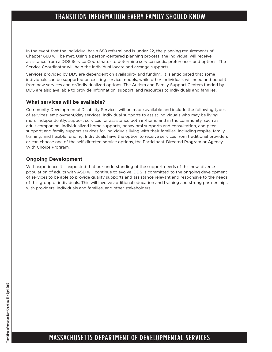In the event that the individual has a 688 referral and is under 22, the planning requirements of Chapter 688 will be met. Using a person-centered planning process, the individual will receive assistance from a DDS Service Coordinator to determine service needs, preferences and options. The Service Coordinator will help the individual locate and arrange supports.

Services provided by DDS are dependent on availability and funding. It is anticipated that some individuals can be supported on existing service models, while other individuals will need and benefit from new services and or/individualized options. The Autism and Family Support Centers funded by DDS are also available to provide information, support, and resources to individuals and families.

#### **What services will be available?**

Community Developmental Disability Services will be made available and include the following types of services: employment/day services; individual supports to assist individuals who may be living more independently; support services for assistance both in-home and in the community, such as adult companion, individualized home supports, behavioral supports and consultation, and peer support; and family support services for individuals living with their families, including respite, family training, and flexible funding. Individuals have the option to receive services from traditional providers or can choose one of the self-directed service options, the Participant-Directed Program or Agency With Choice Program.

#### **Ongoing Development**

With experience it is expected that our understanding of the support needs of this new, diverse population of adults with ASD will continue to evolve. DDS is committed to the ongoing development of services to be able to provide quality supports and assistance relevant and responsive to the needs of this group of individuals. This will involve additional education and training and strong partnerships with providers, individuals and families, and other stakeholders.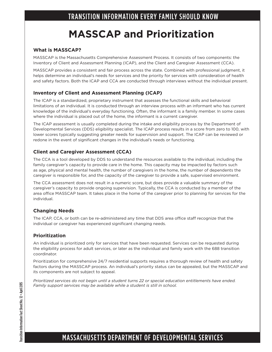## **MASSCAP and Prioritization**

#### **What is MASSCAP?**

MASSCAP is the Massachusetts Comprehensive Assessment Process. It consists of two components: the Inventory of Client and Assessment Planning (ICAP), and the Client and Caregiver Assessment (CCA).

MASSCAP provides a consistent and fair process across the state. Combined with professional judgment, it helps determine an individual's needs for services and the priority for services with consideration of health and safety factors. Both the ICAP and CCA are conducted through interviews without the individual present.

#### **Inventory of Client and Assessment Planning (ICAP)**

The ICAP is a standardized, proprietary instrument that assesses the functional skills and behavioral limitations of an individual. It is conducted through an interview process with an informant who has current knowledge of the individual's everyday functioning. Often, the informant is a family member. In some cases where the individual is placed out of the home, the informant is a current caregiver.

The ICAP assessment is usually completed during the intake and eligibility process by the Department of Developmental Services (DDS) eligibility specialist. The ICAP process results in a score from zero to 100, with lower scores typically suggesting greater needs for supervision and support. The ICAP can be reviewed or redone in the event of significant changes in the individual's needs or functioning.

#### **Client and Caregiver Assessment (CCA)**

The CCA is a tool developed by DDS to understand the resources available to the individual, including the family caregiver's capacity to provide care in the home. This capacity may be impacted by factors such as age, physical and mental health, the number of caregivers in the home, the number of dependents the caregiver is responsible for, and the capacity of the caregiver to provide a safe, supervised environment.

The CCA assessment does not result in a numeric score, but does provide a valuable summary of the caregiver's capacity to provide ongoing supervision. Typically, the CCA is conducted by a member of the area office MASSCAP team. It takes place in the home of the caregiver prior to planning for services for the individual.

#### **Changing Needs**

The ICAP, CCA, or both can be re-administered any time that DDS area office staff recognize that the individual or caregiver has experienced significant changing needs.

#### **Prioritization**

An individual is prioritized only for services that have been requested. Services can be requested during the eligibility process for adult services, or later as the individual and family work with the 688 transition coordinator.

Prioritization for comprehensive 24/7 residential supports requires a thorough review of health and safety factors during the MASSCAP process. An individual's priority status can be appealed, but the MASSCAP and its components are not subject to appeal.

*Prioritized services do not begin until a student turns 22 or special education entitlements have ended. Family support services may be available while a student is still in school.*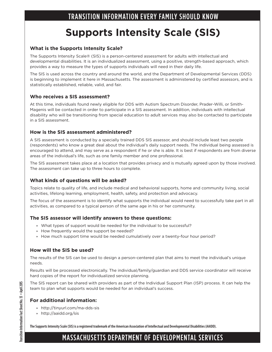## **Supports Intensity Scale (SIS)**

#### **What is the Supports Intensity Scale?**

The Supports Intensity Scale® (SIS) is a person-centered assessment for adults with intellectual and developmental disabilities. It is an individualized assessment, using a positive, strength-based approach, which provides a way to measure the types of supports individuals will need in their daily life.

The SIS is used across the country and around the world, and the Department of Developmental Services (DDS) is beginning to implement it here in Massachusetts. The assessment is administered by certified assessors, and is statistically established, reliable, valid, and fair.

#### **Who receives a SIS assessment?**

At this time, individuals found newly eligible for DDS with Autism Spectrum Disorder, Prader-Willi, or Smith-Magenis will be contacted in order to participate in a SIS assessment. In addition, individuals with intellectual disability who will be transitioning from special education to adult services may also be contacted to participate in a SIS assessment.

#### **How is the SIS assessment administered?**

A SIS assessment is conducted by a specially trained DDS SIS assessor, and should include least two people (respondents) who know a great deal about the individual's daily support needs. The individual being assessed is encouraged to attend, and may serve as a respondent if he or she is able. It is best if respondents are from diverse areas of the individual's life, such as one family member and one professional.

The SIS assessment takes place at a location that provides privacy and is mutually agreed upon by those involved. The assessment can take up to three hours to complete.

#### **What kinds of questions will be asked?**

Topics relate to quality of life, and include medical and behavioral supports, home and community living, social activities, lifelong learning, employment, health, safety, and protection and advocacy.

The focus of the assessment is to identify what supports the individual would need to successfully take part in all activities, as compared to a typical person of the same age in his or her community.

#### **The SIS assessor will identify answers to these questions:**

- » What types of support would be needed for the individual to be successful?
- » How frequently would the support be needed?
- » How much support time would be needed cumulatively over a twenty-four hour period?

#### **How will the SIS be used?**

The results of the SIS can be used to design a person-centered plan that aims to meet the individual's unique needs.

Results will be processed electronically. The individual/family/guardian and DDS service coordinator will receive hard copies of the report for individualized service planning.

The SIS report can be shared with providers as part of the Individual Support Plan (ISP) process. It can help the team to plan what supports would be needed for an individual's success.

#### **For additional information:**

- » http://tinyurl.com/ma-dds-sis
- » http://aaidd.org/sis

**The Supports Intensity Scale (SIS) is a registered trademark of the American Association of Intellectual and Developmental Disabilities (AAIDD).**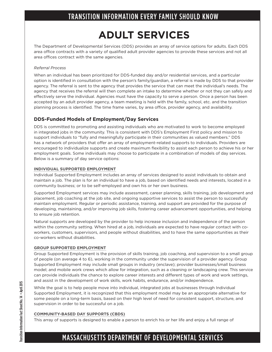## **ADULT SERVICES**

The Department of Developmental Services (DDS) provides an array of service options for adults. Each DDS area office contracts with a variety of qualified adult provider agencies to provide these services and not all area offices contract with the same agencies.

#### *Referral Process*

When an individual has been prioritized for DDS-funded day and/or residential services, and a particular option is identified in consultation with the person's family/guardian, a referral is made by DDS to that provider agency. The referral is sent to the agency that provides the service that can meet the individual's needs. The agency that receives the referral will then complete an intake to determine whether or not they can safely and effectively serve the individual. Agencies must have the capacity to serve a person. Once a person has been accepted by an adult provider agency, a team meeting is held with the family, school, etc. and the transition planning process is identified. The time frame varies, by area office, provider agency, and availability.

#### **DDS-Funded Models of Employment/Day Services**

DDS is committed to promoting and assisting individuals who are motivated to work to become employed in integrated jobs in the community. This is consistent with DDS's Employment First policy and mission to support individuals to "fully and meaningfully participate in their communities as valued members." DDS has a network of providers that offer an array of employment-related supports to individuals. Providers are encouraged to individualize supports and create maximum flexibility to assist each person to achieve his or her employment goals. Some individuals may choose to participate in a combination of models of day services. Below is a summary of day service options:

#### **INDIVIDUAL SUPPORTED EMPLOYMENT**

Individual Supported Employment includes an array of services designed to assist individuals to obtain and maintain a job. The plan is for an individual to have a job, based on identified needs and interests, located in a community business; or to be self-employed and own his or her own business.

Supported Employment services may include assessment, career planning, skills training, job development and placement, job coaching at the job site, and ongoing supportive services to assist the person to successfully maintain employment. Regular or periodic assistance, training, and support are provided for the purpose of developing, maintaining, and/or improving job skills, fostering career advancement opportunities, and helping to ensure job retention.

Natural supports are developed by the provider to help increase inclusion and independence of the person within the community setting. When hired at a job, individuals are expected to have regular contact with coworkers, customers, supervisors, and people without disabilities, and to have the same opportunities as their co-workers without disabilities.

#### **GROUP SUPPORTED EMPLOYMENT**

Group Supported Employment is the provision of skills training, job coaching, and supervision to a small group of people (on average 4 to 6), working in the community under the supervision of a provider agency. Group Supported Employment may include small groups in industry (enclave); provider businesses/small business model; and mobile work crews which allow for integration, such as a cleaning or landscaping crew. This service can provide individuals the chance to explore career interests and different types of work and work settings, and assist in the development of work skills, work habits, endurance, and/or independence.

While the goal is to help people move into individual, integrated jobs at businesses through Individual Supported Employment, it is recognized that this employment model may be an appropriate alternative for some people on a long-term basis, based on their high level of need for consistent support, structure, and supervision in order to be successful on a job.

#### **COMMUNITY-BASED DAY SUPPORTS (CBDS)**

This array of supports is designed to enable a person to enrich his or her life and enjoy a full range of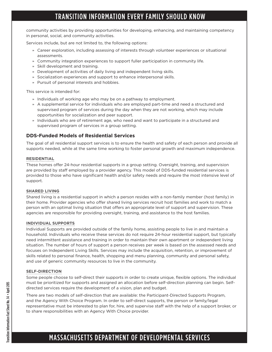community activities by providing opportunities for developing, enhancing, and maintaining competency in personal, social, and community activities.

Services include, but are not limited to, the following options:

- » Career exploration, including assessing of interests through volunteer experiences or situational assessments.
- » Community integration experiences to support fuller participation in community life.
- » Skill development and training.
- » Development of activities of daily living and independent living skills.
- » Socialization experiences and support to enhance interpersonal skills.
- » Pursuit of personal interests and hobbies.

This service is intended for:

- » Individuals of working age who may be on a pathway to employment.
- » A supplemental service for individuals who are employed part-time and need a structured and supervised program of services during the day when they are not working, which may include opportunities for socialization and peer support.
- » Individuals who are of retirement age, who need and want to participate in a structured and supervised program of services in a group setting.

#### **DDS-Funded Models of Residential Services**

The goal of all residential support services is to ensure the health and safety of each person and provide all supports needed, while at the same time working to foster personal growth and maximum independence.

#### **RESIDENTIAL**

These homes offer 24-hour residential supports in a group setting. Oversight, training, and supervision are provided by staff employed by a provider agency. This model of DDS-funded residential services is provided to those who have significant health and/or safety needs and require the most intensive level of support.

#### **SHARED LIVING**

Shared living is a residential support in which a person resides with a non-family member (host family) in their home. Provider agencies who offer shared living services recruit host families and work to match a person with an optimal living situation that offers an appropriate level of support and supervision. These agencies are responsible for providing oversight, training, and assistance to the host families.

#### **INDIVIDUAL SUPPORTS**

Individual Supports are provided outside of the family home, assisting people to live in and maintain a household. Individuals who receive these services do not require 24-hour residential support, but typically need intermittent assistance and training in order to maintain their own apartment or independent living situation. The number of hours of support a person receives per week is based on the assessed needs and focuses on Independent Living Skills. Services may include the acquisition, retention, or improvement of skills related to personal finance, health, shopping and menu planning, community and personal safety, and use of generic community resources to live in the community.

#### **SELF-DIRECTION**

Some people choose to self-direct their supports in order to create unique, flexible options. The individual must be prioritized for supports and assigned an allocation before self-direction planning can begin. Selfdirected services require the development of a vision, plan and budget.

There are two models of self-direction that are available: the Participant-Directed Supports Program, and the Agency With Choice Program. In order to self-direct supports, the person or family/legal representative must be interested to plan for, hire, and supervise staff with the help of a support broker, or to share responsibilities with an Agency With Choice provider.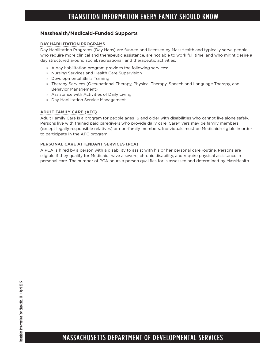#### **Masshealth/Medicaid-Funded Supports**

#### **DAY HABILITATION PROGRAMS**

Day Habilitation Programs (Day Habs) are funded and licensed by MassHealth and typically serve people who require more clinical and therapeutic assistance, are not able to work full time, and who might desire a day structured around social, recreational, and therapeutic activities.

- » A day habilitation program provides the following services:
- » Nursing Services and Health Care Supervision
- » Developmental Skills Training
- » Therapy Services (Occupational Therapy, Physical Therapy, Speech and Language Therapy, and Behavior Management)
- » Assistance with Activities of Daily Living
- » Day Habilitation Service Management

#### **ADULT FAMILY CARE (AFC)**

Adult Family Care is a program for people ages 16 and older with disabilities who cannot live alone safely. Persons live with trained paid caregivers who provide daily care. Caregivers may be family members (except legally responsible relatives) or non-family members. Individuals must be Medicaid-eligible in order to participate in the AFC program.

#### **PERSONAL CARE ATTENDANT SERVICES (PCA)**

A PCA is hired by a person with a disability to assist with his or her personal care routine. Persons are eligible if they qualify for Medicaid, have a severe, chronic disability, and require physical assistance in personal care. The number of PCA hours a person qualifies for is assessed and determined by MassHealth.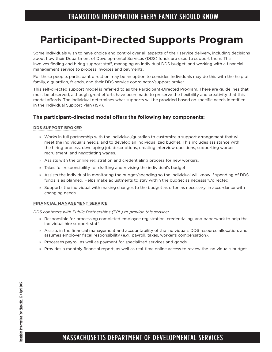## **Participant-Directed Supports Program**

Some individuals wish to have choice and control over all aspects of their service delivery, including decisions about how their Department of Developmental Services (DDS) funds are used to support them. This involves finding and hiring support staff, managing an individual DDS budget, and working with a financial management service to process invoices and payments.

For these people, participant direction may be an option to consider. Individuals may do this with the help of family, a guardian, friends, and their DDS service coordinator/support broker.

This self-directed support model is referred to as the Participant-Directed Program. There are guidelines that must be observed, although great efforts have been made to preserve the flexibility and creativity that this model affords. The individual determines what supports will be provided based on specific needs identified in the Individual Support Plan (ISP).

#### **The participant-directed model offers the following key components:**

#### **DDS SUPPORT BROKER**

- » Works in full partnership with the individual/guardian to customize a support arrangement that will meet the individual's needs, and to develop an individualized budget. This includes assistance with the hiring process: developing job descriptions, creating interview questions, supporting worker recruitment, and negotiating wages.
- » Assists with the online registration and credentialing process for new workers.
- » Takes full responsibility for drafting and revising the individual's budget.
- » Assists the individual in monitoring the budget/spending so the individual will know if spending of DDS funds is as planned. Helps make adjustments to stay within the budget as necessary/directed.
- » Supports the individual with making changes to the budget as often as necessary, in accordance with changing needs.

#### **FINANCIAL MANAGEMENT SERVICE**

*DDS contracts with Public Partnerships (PPL) to provide this service:*

- » Responsible for processing completed employee registration, credentialing, and paperwork to help the individual hire support staff.
- » Assists in the financial management and accountability of the individual's DDS resource allocation, and assumes employer fiscal responsibility (e.g., payroll, taxes, worker's compensation).
- » Processes payroll as well as payment for specialized services and goods.
- » Provides a monthly financial report, as well as real-time online access to review the individual's budget.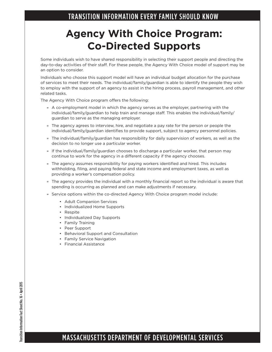## **Agency With Choice Program: Co-Directed Supports**

Some individuals wish to have shared responsibility in selecting their support people and directing the day-to-day activities of their staff. For these people, the Agency With Choice model of support may be an option to consider.

Individuals who choose this support model will have an individual budget allocation for the purchase of services to meet their needs. The individual/family/guardian is able to identify the people they wish to employ with the support of an agency to assist in the hiring process, payroll management, and other related tasks.

The Agency With Choice program offers the following:

- » A co-employment model in which the agency serves as the employer, partnering with the individual/family/guardian to help train and manage staff. This enables the individual/family/ guardian to serve as the managing employer.
- » The agency agrees to interview, hire, and negotiate a pay rate for the person or people the individual/family/guardian identifies to provide support, subject to agency personnel policies.
- » The individual/family/guardian has responsibility for daily supervision of workers, as well as the decision to no longer use a particular worker.
- » If the individual/family/guardian chooses to discharge a particular worker, that person may continue to work for the agency in a different capacity if the agency chooses.
- » The agency assumes responsibility for paying workers identified and hired. This includes withholding, filing, and paying federal and state income and employment taxes, as well as providing a worker's compensation policy.
- » The agency provides the individual with a monthly financial report so the individual is aware that spending is occurring as planned and can make adjustments if necessary.
- » Service options within the co-directed Agency With Choice program model include:
	- Adult Companion Services
	- Individualized Home Supports
	- Respite
	- Individualized Day Supports
	- Family Training
	- Peer Support
	- Behavioral Support and Consultation
	- Family Service Navigation
	- Financial Assistance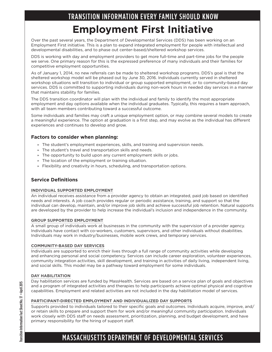## TRANSITION INFORMATION EVERY FAMILY SHOULD KNOW **Employment First Initiative**

Over the past several years, the Department of Developmental Services (DDS) has been working on an Employment First initiative. This is a plan to expand integrated employment for people with intellectual and developmental disabilities, and to phase out center-based/sheltered workshop services.

DDS is working with day and employment providers to get more full-time and part-time jobs for the people we serve. One primary reason for this is the expressed preference of many individuals and their families for competitive employment opportunities.

As of January 1, 2014, no new referrals can be made to sheltered workshop programs. DDS's goal is that the sheltered workshop model will be phased out by June 30, 2016. Individuals currently served in sheltered workshop situations will transition to individual or group supported employment, or to community-based day services. DDS is committed to supporting individuals during non-work hours in needed day services in a manner that maintains stability for families.

The DDS transition coordinator will plan with the individual and family to identify the most appropriate employment and day options available when the individual graduates. Typically, this requires a team approach, with all team members contributing toward a successful outcome.

Some individuals and families may craft a unique employment option, or may combine several models to create a meaningful experience. The option at graduation is a first step, and may evolve as the individual has different experiences and continues to develop and grow.

#### **Factors to consider when planning:**

- » The student's employment experiences, skills, and training and supervision needs.
- » The student's travel and transportation skills and needs.
- » The opportunity to build upon any current employment skills or jobs.
- » The location of the employment or training situation.
- » Flexibility and creativity in hours, scheduling, and transportation options.

#### **Service Definitions**

#### **INDIVIDUAL SUPPORTED EMPLOYMENT**

An individual receives assistance from a provider agency to obtain an integrated, paid job based on identified needs and interests. A job coach provides regular or periodic assistance, training, and support so that the individual can develop, maintain, and/or improve job skills and achieve successful job retention. Natural supports are developed by the provider to help increase the individual's inclusion and independence in the community.

#### **GROUP SUPPORTED EMPLOYMENT**

A small group of individuals work at businesses in the community with the supervision of a provider agency. Individuals have contact with co-workers, customers, supervisors, and other individuals without disabilities. Individuals may work in industry/businesses, mobile work crews, and temporary services.

#### **COMMUNITY-BASED DAY SERVICES**

Individuals are supported to enrich their lives through a full range of community activities while developing and enhancing personal and social competency. Services can include career exploration, volunteer experiences, community integration activities, skill development, and training in activities of daily living, independent living, and social skills. This model may be a pathway toward employment for some individuals.

#### **DAY HABILITATION**

Day habilitation services are funded by MassHealth. Services are based on a service plan of goals and objectives and a program of integrated activities and therapies to help participants achieve optimal physical and cognitive capabilities. Employment and related activities are not included in the day habilitation model of services.

#### **PARTICIPANT-DIRECTED EMPLOYMENT AND INDIVIDUALIZED DAY SUPPORTS**

Supports provided to individuals tailored to their specific goals and outcomes. Individuals acquire, improve, and/ or retain skills to prepare and support them for work and/or meaningful community participation. Individuals work closely with DDS staff on needs assessment, prioritization, planning, and budget development, and have primary responsibility for the hiring of support staff.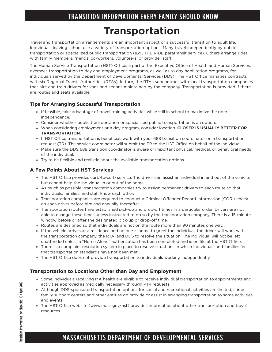## TRANSITION INFORMATION EVERY FAMILY SHOULD KNOW **Transportation**

Travel and transportation arrangements are an important aspect of a successful transition to adult life. Individuals leaving school use a variety of transportation options. Many travel independently by public transportation or specialized public transportation (e.g., THE RIDE paratransit service). Others arrange rides with family members, friends, co-workers, volunteers, or provider staff.

The Human Service Transportation (HST) Office, a part of the Executive Office of Health and Human Services, oversees transportation to day and employment programs, as well as to day habilitation programs, for individuals served by the Department of Developmental Services (DDS). The HST Office manages contracts with six Regional Transit Authorities (RTAs). In turn, the RTAs subcontract with local transportation companies that hire and train drivers for vans and sedans maintained by the company. Transportation is provided if there are routes and seats available.

#### **Tips for Arranging Successful Transportation**

- » If feasible, take advantage of travel training activities while still in school to maximize the rider's independence.
- » Consider whether public transportation or specialized public transportation is an option.
- » When considering employment or a day program, consider location. **CLOSER IS USUALLY BETTER FOR TRANSPORTATION**.
- » If HST Office transportation is beneficial, work with your 688 transition coordinator on a transportation request (TR). The service coordinator will submit the TR to the HST Office on behalf of the individual.
- » Make sure the DDS 688 transition coordinator is aware of important physical, medical, or behavioral needs of the individual.
- » Try to be flexible and realistic about the available transportation options.

#### **A Few Points About HST Services**

- » The HST Office provides curb-to-curb service. The driver can assist an individual in and out of the vehicle, but cannot help the individual in or out of the home.
- » As much as possible, transportation companies try to assign permanent drivers to each route so that individuals, families, and staff know each other.
- » Transportation companies are required to conduct a Criminal Offender Record Information (CORI) check on each driver before hire and annually thereafter.
- » Transportation routes have established pick-up and drop-off times in a particular order. Drivers are not able to change these times unless instructed to do so by the transportation company. There is a 15-minute window before or after the designated pick-up or drop-off time.
- » Routes are designed so that individuals are not on the route more than 90 minutes one way.
- » If the vehicle arrives at a residence and no one is home to greet the individual, the driver will work with the transportation company, the RTA, and DDS to resolve the situation. The individual will not be left unattended unless a "Home Alone" authorization has been completed and is on file at the HST Office.
- » There is a complaint resolution system in place to resolve situations in which individuals and families feel that transportation standards have not been met.
- » The HST Office does not provide transportation to individuals working independently.

#### **Transportation to Locations Other than Day and Employment**

- » Some individuals receiving MA health are eligible to receive individual transportation to appointments and activities approved as medically necessary through PT-1 requests.
- » Although DDS-sponsored transportation options for social and recreational activities are limited, some family support centers and other entities do provide or assist in arranging transportation to some activities and events.
- » The HST Office website (www.mass.gov/hst) provides information about other transportation and travel resources.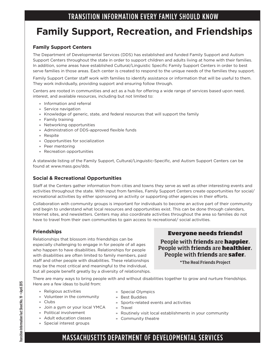## **Family Support, Recreation, and Friendships**

#### **Family Support Centers**

The Department of Developmental Services (DDS) has established and funded Family Support and Autism Support Centers throughout the state in order to support children and adults living at home with their families. In addition, some areas have established Cultural/Linguistic Specific Family Support Centers in order to best serve families in those areas. Each center is created to respond to the unique needs of the families they support.

Family Support Center staff work with families to identify assistance or information that will be useful to them. They work individually, providing support and ensuring follow through.

Centers are rooted in communities and act as a hub for offering a wide range of services based upon need, interest, and available resources, including but not limited to:

- » Information and referral
- » Service navigation
- » Knowledge of generic, state, and federal resources that will support the family
- » Family training
- » Networking opportunities
- » Administration of DDS-approved flexible funds
- » Respite
- » Opportunities for socialization
- » Peer mentoring
- » Recreation opportunities

A statewide listing of the Family Support, Cultural/Linguistic-Specific, and Autism Support Centers can be found at www.mass.gov/dds.

#### **Social & Recreational Opportunities**

Staff at the Centers gather information from cities and towns they serve as well as other interesting events and activities throughout the state. With input from families, Family Support Centers create opportunities for social/ recreational activities by either sponsoring an activity or supporting other agencies in their efforts.

Collaboration with community groups is important for individuals to become an active part of their community and begin to understand what local resources and opportunities exist. This can be done through calendars, Internet sites, and newsletters. Centers may also coordinate activities throughout the area so families do not have to travel from their own communities to gain access to recreational/ social activities.

#### **Friendships**

Relationships that blossom into friendships can be especially challenging to engage in for people of all ages who happen to have disabilities. Relationships for people with disabilities are often limited to family members, paid staff and other people with disabilities. These relationships may be the most critical and meaningful to the individual, but all people benefit greatly by a diversity of relationships.

#### Everyone needs friends!

People with **friends** are happier. People with **friends** are healthier. People with **friends** are safer.

\*The Real Friends Project

There are many ways to bring people with and without disabilities together to grow and nurture friendships. Here are a few ideas to build from:

> » Special Olympics » Best Buddies

- » Religious activities
- » Volunteer in the community
- » Clubs
- » Join a gym or your local YMCA
- » Political involvement » Adult education classes
- » Travel
	- » Routinely visit local establishments in your community
	- » Community theatre
- » Special interest groups
	- MASSACHUSETTS DEPARTMENT OF DEVELOPMENTAL SERVICES

» Sports-related events and activities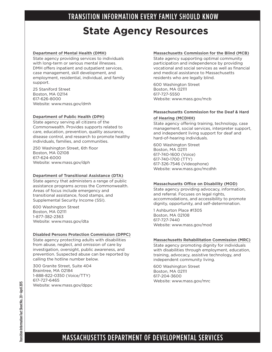## **State Agency Resources**

#### **Department of Mental Health (DMH)**

State agency providing services to individuals with long-term or serious mental illnesses. DMH offers inpatient and outpatient services, case management, skill development, and employment, residential, individual, and family support.

25 Staniford Street Boston, MA 02114 617-626-8000 Website: www.mass.gov/dmh

#### **Department of Public Health (DPH)**

State agency serving all citizens of the Commonwealth. Provides supports related to care, education, prevention, quality assurance, disease control, and research to promote healthy individuals, families, and communities.

250 Washington Street, 6th floor Boston, MA 02108 617-624-6000 Website: www.mass.gov/dph

#### **Department of Transitional Assistance (DTA)**

State agency that administers a range of public assistance programs across the Commonwealth. Areas of focus include emergency and transitional assistance, food stamps, and Supplemental Security Income (SSI).

600 Washington Street Boston, MA 02111 1-877-382-2363 Website: www.mass.gov/dta

#### **Disabled Persons Protection Commission (DPPC)**

State agency protecting adults with disabilities from abuse, neglect, and omission of care by investigation, oversight, public awareness, and prevention. Suspected abuse can be reported by calling the hotline number below.

300 Granite Street, Suite 404 Braintree, MA 02184 1-888-822-0350 (Voice/TTY) 617-727-6465 Website: www.mass.gov/dppc

#### **Massachusetts Commission for the Blind (MCB)**

State agency supporting optimal community participation and independence by providing vocational and social services as well as financial and medical assistance to Massachusetts residents who are legally blind.

600 Washington Street Boston, MA 02111 617-727-5550 Website: www.mass.gov/mcb

#### **Massachusetts Commission for the Deaf & Hard**

#### **of Hearing (MCDHH)**

State agency offering training, technology, case management, social services, interpreter support, and independent living support for deaf and hard-of-hearing individuals.

600 Washington Street Boston, MA 02111 617-740-1600 (Voice) 617-740-1700 (TTY) 617-326-7546 (Videophone) Website: www.mass.gov/mcdhh

#### **Massachusetts Office on Disability (MOD)**

State agency providing advocacy, information, and referral. Focuses on legal rights, accommodations, and accessibility to promote dignity, opportunity, and self-determination.

1 Ashburton Place #1305 Boston, MA 02108 617-727-7440 Website: www.mass.gov/mod

#### **Massachusetts Rehabilitation Commission (MRC)**

State agency promoting dignity for individuals with disabilities through employment, education, training, advocacy, assistive technology, and independent community living.

600 Washington Street Boston, MA 02111 617-204-3600 Website: www.mass.gov/mrc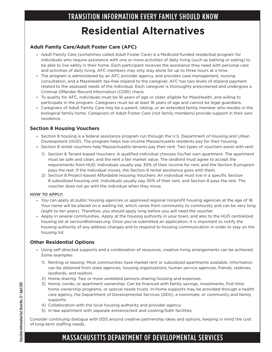## TRANSITION INFORMATION EVERY FAMILY SHOULD KNOW **Residential Alternatives**

#### **Adult Family Care/Adult Foster Care (AFC)**

- » Adult Family Care (sometimes called Adult Foster Care) is a Medicaid-funded residential program for individuals who require assistance with one or more activities of daily living (such as bathing or eating) to be able to live safely in their home. Each participant receives the assistance they need with personal care and activities of daily living. AFC members may only stay alone for up to three hours at a time.
- » The program is administered by an AFC provider agency, and provides case management, nursing consultation, and a MassHealth tax-free stipend to the caregiver. AFC has two levels of stipend payment related to the assessed needs of the individual. Each caregiver is thoroughly prescreened and undergoes a Criminal Offender Record Information (CORI) check.
- » To quality for AFC, individuals must be 16 years of age or older, eligible for MassHealth, and willing to participate in the program. Caregivers must be at least 18 years of age and cannot be legal guardians.
- » Caregivers of Adult Family Care may be a parent, sibling, or an extended family member who resides in the biological family home. Caregivers of Adult Foster Care (not family members) provide support in their own residence.

#### **Section 8 Housing Vouchers**

- » Section 8 housing is a federal assistance program run through the U.S. Department of Housing and Urban Development (HUD). The program helps low-income Massachusetts residents pay for their housing.
- » Section 8 rental vouchers help Massachusetts tenants pay their rent. Two types of vouchers assist with rent:
	- 1) Section 8 Tenant-based Vouchers: A qualified individual chooses his/her own apartment. The apartment must be safe and clean, and the rent a fair market value. The landlord must agree to accept the requirements from HUD. Individuals usually pay 30% of their income for rent, and the Section 8 program pays the rest. If the individual moves, the Section 8 rental assistance goes with them.
	- 2) Section 8 Project-based Affordable Housing Vouchers: An individual must live in a specific Section 8 subsidized housing unit. Individuals usually pay 30% of their rent, and Section 8 pays the rest. The voucher does not go with the individual when they move.

#### **HOW TO APPLY:**

- » You can apply at public housing agencies or approved regional nonprofit housing agencies at the age of 18. Your name will be placed on a waiting list, which varies from community to community and can be very long (eight to ten years). Therefore, you should apply long before you will need the voucher.
- » Apply in several communities. Apply at the housing authority in your town, and also to the HUD centralized housing list at section8listmass.org. Once you've submitted an application, it is important to notify the housing authority of any address changes and to respond to housing communication in order to stay on the housing list.

#### **Other Residential Options**

- » Using self-directed supports and a combination of resources, creative living arrangements can be achieved. Some examples:
	- 1) Renting or leasing: Most communities have market rent or subsidized apartments available. Information can be obtained from state agencies, housing organizations, human service agencies, friends, relatives, landlords, and realtors.
	- 2) Home sharing: Two or more unrelated persons sharing housing and expenses.
	- 3) Home, condo, or apartment ownership: Can be financed with family savings, investments, first-time home ownership programs, or special needs trusts. In-home supports may be provided through a health care agency, the Department of Developmental Services (DDS), a roommate, or community and family supports.
	- 4) Collaboration with the local housing authority and provider agency.
	- 5) In-law apartment with separate entrance/exit and cooking/bath facilities.

Consider continuing dialogue with DDS around creative partnership ideas and options, keeping in mind the cost of long-term staffing needs.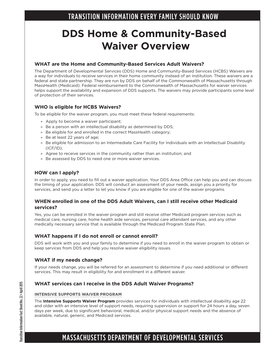## **DDS Home & Community-Based Waiver Overview**

#### **WHAT are the Home and Community-Based Services Adult Waivers?**

The Department of Developmental Services (DDS) Home and Community-Based Services (HCBS) Waivers are a way for individuals to receive services in their home community instead of an institution. These waivers are a federal and state partnership. They are run by DDS on behalf of the Commonwealth of Massachusetts through MassHealth (Medicaid). Federal reimbursement to the Commonwealth of Massachusetts for waiver services helps support the availability and expansion of DDS supports. The waivers may provide participants some level of protection of their services.

#### **WHO is eligible for HCBS Waivers?**

To be eligible for the waiver program, you must meet these federal requirements:

- » Apply to become a waiver participant;
- » Be a person with an intellectual disability as determined by DDS;
- » Be eligible for and enrolled in the correct MassHealth category;
- » Be at least 22 years of age;
- » Be eligible for admission to an Intermediate Care Facility for Individuals with an Intellectual Disability  $(ICF/ID);$
- » Agree to receive services in the community rather than an institution; and
- » Be assessed by DDS to need one or more waiver services.

#### **HOW can I apply?**

In order to apply, you need to fill out a waiver application. Your DDS Area Office can help you and can discuss the timing of your application. DDS will conduct an assessment of your needs, assign you a priority for services, and send you a letter to let you know if you are eligible for one of the waiver programs.

#### **WHEN enrolled in one of the DDS Adult Waivers, can I still receive other Medicaid services?**

Yes, you can be enrolled in the waiver program and still receive other Medicaid program services such as medical care, nursing care, home health aide services, personal care attendant services, and any other medically necessary service that is available through the Medicaid Program State Plan.

#### **WHAT happens if I do not enroll or cannot enroll?**

DDS will work with you and your family to determine if you need to enroll in the waiver program to obtain or keep services from DDS and help you resolve waiver eligibility issues.

#### **WHAT if my needs change?**

If your needs change, you will be referred for an assessment to determine if you need additional or different services. This may result in eligibility for and enrollment in a different waiver.

#### **WHAT services can I receive in the DDS Adult Waiver Programs?**

#### **INTENSIVE SUPPORTS WAIVER PROGRAM**

The **Intensive Supports Waiver Program** provides services for individuals with intellectual disability age 22 and older with an intensive level of support needs, requiring supervision or support for 24 hours a day, seven days per week, due to significant behavioral, medical, and/or physical support needs and the absence of available, natural, generic, and Medicaid services.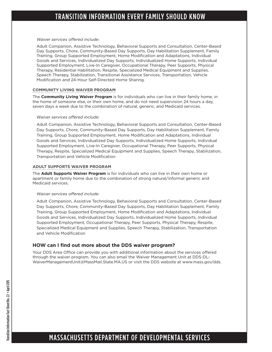#### *Waiver services offered include:*

Adult Companion, Assistive Technology, Behavioral Supports and Consultation, Center-Based Day Supports, Chore, Community-Based Day Supports, Day Habilitation Supplement, Family Training, Group Supported Employment, Home Modification and Adaptations, Individual Goods and Services, Individualized Day Supports, Individualized Home Supports, Individual Supported Employment, Live-In Caregiver, Occupational Therapy, Peer Supports, Physical Therapy, Residential Habilitation, Respite, Specialized Medical Equipment and Supplies, Speech Therapy, Stabilization, Transitional Assistance Services, Transportation, Vehicle Modification and 24-Hour Self-Directed Home Sharing.

#### **COMMUNITY LIVING WAIVER PROGRAM**

The **Community Living Waiver Program** is for individuals who can live in their family home, in the home of someone else, or their own home, and do not need supervision 24 hours a day, seven days a week due to the combination of natural, generic, and Medicaid services.

#### *Waiver services offered include:*

Adult Companion, Assistive Technology, Behavioral Supports and Consultation, Center-Based Day Supports, Chore, Community-Based Day Supports, Day Habilitation Supplement, Family Training, Group Supported Employment, Home Modification and Adaptations, Individual Goods and Services, Individualized Day Supports, Individualized Home Supports, Individual Supported Employment, Live-In Caregiver, Occupational Therapy, Peer Supports, Physical Therapy, Respite, Specialized Medical Equipment and Supplies, Speech Therapy, Stabilization, Transportation and Vehicle Modification

#### **ADULT SUPPORTS WAIVER PROGRAM**

The **Adult Supports Waiver Program** is for individuals who can live in their own home or apartment or family home due to the combination of strong natural/informal generic and Medicaid services.

#### *Waiver services offered include:*

Adult Companion, Assistive Technology, Behavioral Supports and Consultation, Center-Based Day Supports, Chore, Community-Based Day Supports, Day Habilitation Supplement, Family Training, Group Supported Employment, Home Modification and Adaptations, Individual Goods and Services, Individualized Day Supports, Individualized Home Supports, Individual Supported Employment, Occupational Therapy, Peer Supports, Physical Therapy, Respite, Specialized Medical Equipment and Supplies, Speech Therapy, Stabilization, Transportation and Vehicle Modification

#### **HOW can I find out more about the DDS waiver program?**

Your DDS Area Office can provide you with additional information about the services offered through the waiver program. You can also email the Waiver Management Unit at DDS-DL-WaiverManagementUnit@MassMail.State.MA.US or visit the DDS website at www.mass.gov/dds.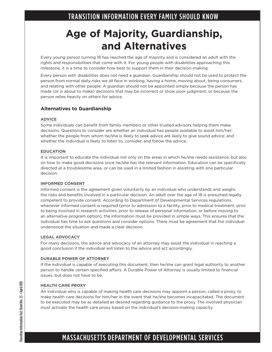## **Age of Majority, Guardianship, and Alternatives**

Every young person turning 18 has reached the age of majority and is considered an adult with the rights and responsibilities that come with it. For young people with disabilities approaching this milestone, it is a time to consider how best to support them in their decision-making.

Every person with disabilities does not need a guardian. Guardianship should not be used to protect the person from normal daily risks we all face in working, having a home, moving about, being consumers, and relating with other people. A guardian should not be appointed simply because the person has made (or is about to make) decisions that may be incorrect or show poor judgment, or because the person relies heavily on others for advice.

#### **Alternatives to Guardianship**

#### **ADVICE**

Some individuals can benefit from family members or other trusted advisors helping them make decisions. Questions to consider are whether an individual has people available to assist him/her; whether the people from whom he/she is likely to seek advice are likely to give sound advice; and whether the individual is likely to listen to, consider, and follow the advice.

#### **EDUCATION**

It is important to educate the individual not only on the areas in which he/she needs assistance, but also on how to make good decisions once he/she has the relevant information. Education can be specifically directed at a troublesome area, or can be used in a limited fashion in assisting with one particular decision.

#### **INFORMED CONSENT**

Informed consent is the agreement given voluntarily by an individual who understands and weighs the risks and benefits involved in a particular decision. An adult over the age of 18 is presumed legally competent to provide consent. According to Department of Developmental Services regulations, whenever informed consent is required (prior to admission to a facility, prior to medical treatment, prior to being involved in research activities, prior to release of personal information, or before moving to an alternative program option), the information must be provided in simple ways. This ensures that the individual has time to ask questions and consider options. There must be agreement that the individual understood the situation and made a clear decision.

#### **LEGAL ADVOCACY**

For many decisions, the advice and advocacy of an attorney may assist the individual in reaching a good conclusion if the individual will listen to the advice and act accordingly.

#### **DURABLE POWER OF ATTORNEY**

If the individual is capable of executing this document, then he/she can grant legal authority to another person to handle certain specified affairs. A Durable Power of Attorney is usually limited to financial issues, but does not have to be.

#### **HEALTH CARE PROXY**

An individual who is capable of making health care decisions may appoint a person, called a proxy, to make health care decisions for him/her in the event that he/she becomes incapacitated. The document to be executed may be as detailed as desired regarding guidance to the proxy. The involved physician must activate the health care proxy based on the individual's decision-making capacity.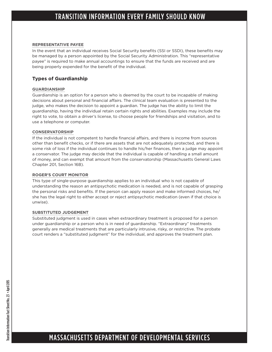#### **REPRESENTATIVE PAYEE**

In the event that an individual receives Social Security benefits (SSI or SSDI), these benefits may be managed by a person appointed by the Social Security Administration. This "representative payee" is required to make annual accountings to ensure that the funds are received and are being properly expended for the benefit of the individual.

#### **Types of Guardianship**

#### **GUARDIANSHIP**

Guardianship is an option for a person who is deemed by the court to be incapable of making decisions about personal and financial affairs. The clinical team evaluation is presented to the judge, who makes the decision to appoint a guardian. The judge has the ability to limit the guardianship, having the individual retain certain rights and abilities. Examples may include the right to vote, to obtain a driver's license, to choose people for friendships and visitation, and to use a telephone or computer.

#### **CONSERVATORSHIP**

If the individual is not competent to handle financial affairs, and there is income from sources other than benefit checks, or if there are assets that are not adequately protected, and there is some risk of loss if the individual continues to handle his/her finances, then a judge may appoint a conservator. The judge may decide that the individual is capable of handling a small amount of money, and can exempt that amount from the conservatorship (Massachusetts General Laws Chapter 201, Section 16B).

#### **ROGER'S COURT MONITOR**

This type of single-purpose guardianship applies to an individual who is not capable of understanding the reason an antipsychotic medication is needed, and is not capable of grasping the personal risks and benefits. If the person can apply reason and make informed choices, he/ she has the legal right to either accept or reject antipsychotic medication (even if that choice is unwise).

#### **SUBSTITUTED JUDGEMENT**

Substituted judgment is used in cases when extraordinary treatment is proposed for a person under guardianship or a person who is in need of guardianship. "Extraordinary" treatments generally are medical treatments that are particularly intrusive, risky, or restrictive. The probate court renders a "substituted judgment" for the individual, and approves the treatment plan.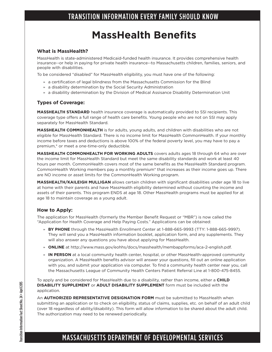## **MassHealth Benefits**

#### **What is MassHealth?**

MassHealth is state-administered Medicaid-funded health insurance. It provides comprehensive health insurance--or help in paying for private health insurance--to Massachusetts children, families, seniors, and people with disabilities.

To be considered "disabled" for MassHealth eligibility, you must have one of the following:

- » a certification of legal blindness from the Massachusetts Commission for the Blind
- » a disability determination by the Social Security Administration
- » a disability determination by the Division of Medical Assisance Disability Determination Unit

#### **Types of Coverage:**

**MASSHEALTH STANDARD** health insurance coverage is automatically provided to SSI recipients. This coverage type offers a full range of health care benefits. Young people who are not on SSI may apply separately for MassHealth Standard.

**MASSHEALTH COMMONHEALTH** is for adults, young adults, and children with disabilities who are not eligible for MassHealth Standard. There is no income limit for MassHealth CommonHealth. If your monthly income before taxes and deductions is above 100% of the federal poverty level, you may have to pay a premium,\* or meet a one-time-only deductible.

**MASSHEALTH COMMONHEALTH FOR WORKING ADULTS** covers adults ages 18 through 64 who are over the income limit for MassHealth Standard but meet the same disability standards and work at least 40 hours per month. CommonHealth covers most of the same benefits as the MassHealth Standard program. CommonHealth Working members pay a monthly premium\* that increases as their income goes up. There are NO income or asset limits for the CommonHealth Working program.

**MASSHEALTH/KAILEIGH MULLIGAN** allows certain children with significant disabilities under age 18 to live at home with their parents and have MassHealth eligibility determined without counting the income and assets of their parents. This program ENDS at age 18. Other MassHealth programs must be applied for at age 18 to maintain coverage as a young adult.

#### **How to Apply:**

The application for MassHealth (formerly the Member Benefit Request or "MBR") is now called the "Application for Health Coverage and Help Paying Costs." Applications can be obtained:

- » **BY PHONE** through the MassHealth Enrollment Center at 1-888-665-9993 (TTY: 1-888-665-9997). They will send you a MassHealth information booklet, application form, and any supplements. They will also answer any questions you have about applying for MassHealth.
- » **ONLINE** at http://www.mass.gov/eohhs/docs/masshealth/membappforms/aca-2-english.pdf.
- » **IN PERSON** at a local community health center, hospital, or other MassHealth-approved community organization. A MassHealth benefits advisor will answer your questions, fill out an online application with you, and submit your application via computer. To find a community health center near you, call the Massachusetts League of Community Health Centers Patient Referral Line at 1-800-475-8455.

To apply and be considered for MassHealth due to a disability, rather than income, either a **CHILD DISABILITY SUPPLEMENT** or **ADULT DISABILITY SUPPLEMENT** form must be included with the application.

An **AUTHORIZED REPRESENTATIVE DESIGNATION FORM** must be submitted to MassHealth when submitting an application or to check on eligibility, status of claims, supplies, etc. on behalf of an adult child (over 18 regardless of ability/disability). This form will allow information to be shared about the adult child. The authorization may need to be renewed periodically.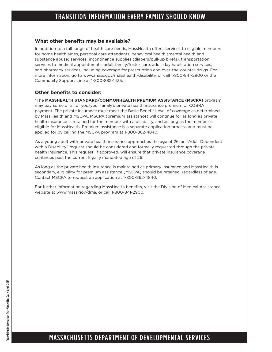#### **What other benefits may be available?**

In addition to a full range of health care needs, MassHealth offers services to eligible members for home health aides, personal care attendants, behavioral health (mental health and substance abuse) services, incontinence supplies (diapers/pull-up briefs), transportation services to medical appointments, adult family/foster care, adult day habilitation services, and pharmacy services, including coverage for prescription and over-the-counter drugs. For more information, go to www.mass.gov/masshealth/disability, or call 1-800-841-2900 or the Community Support Line at 1-800-882-1435.

#### **Other benefits to consider:**

\*The **MASSHEALTH STANDARD/COMMONHEALTH PREMIUM ASSISTANCE (MSCPA)** program may pay some or all of you/your family's private health insurance premium or COBRA payment. The private insurance must meet the Basic Benefit Level of coverage as determined by MassHealth and MSCPA. MSCPA (premium assistance) will continue for as long as private health insurance is retained for the member with a disability, and as long as the member is eligible for MassHealth. Premium assistance is a separate application process and must be applied for by calling the MSCPA program at 1-800-862-4840.

As a young adult with private health insurance approaches the age of 26, an "Adult Dependent with a Disability" request should be considered and formally requested through the private health insurance. This request, if approved, will ensure that private insurance coverage continues past the current legally mandated age of 26.

As long as the private health insurance is maintained as primary insurance and MassHealth is secondary, eligibility for premium assistance (MSCPA) should be retained, regardless of age. Contact MSCPA to request an application at 1-800-862-4840.

For further information regarding MassHealth benefits, visit the Division of Medical Assistance website at www.mass.gov/dma, or call 1-800-841-2900.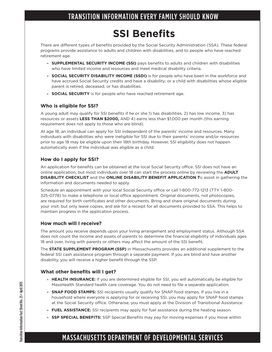## **SSI Benefits**

There are different types of benefits provided by the Social Security Administration (SSA). These federal programs provide assistance to adults and children with disabilities, and to people who have reached retirement age.

- » **SUPPLEMENTAL SECURITY INCOME (SSI)** pays benefits to adults and children with disabilities who have limited income and resources and meet medical disability criteria.
- » **SOCIAL SECURITY DISABILITY INCOME (SSDI)** is for people who have been in the workforce and have accrued Social Security credits and have a disability; or a child with disabilities whose eligible parent is retired, deceased, or has disabilities.
- » **SOCIAL SECURITY** is for people who have reached retirement age.

#### **Who is eligible for SSI?**

A young adult may qualify for SSI benefits if he or she 1) has disabilities, 2) has low income, 3) has resources or assets **LESS THAN \$2000,** AND 4) earns less than \$1,000 per month (this earning requirement does not apply to those who are blind).

At age 18, an individual can apply for SSI independent of the parents' income and resources. Many individuals with disabilities who were ineligible for SSI due to their parents' income and/or resources prior to age 18 may be eligible upon their 18th birthday. However, SSI eligibility does not happen automatically even if the individual was eligible as a child.

#### **How do I apply for SSI?**

An application for benefits can be obtained at the local Social Security office. SSI does not have an online application, but most individuals over 18 can start the process online by reviewing the **ADULT DISABILITY CHECKLIST** and the **ONLINE DISABILITY BENEFIT APPLICATION T**o assist in gathering the information and documents needed to apply.

Schedule an appointment with your local Social Security office or call 1-800-772-1213 (TTY 1-800- 325-0778) to make a telephone or local office appointment. Original documents, not photocopies, are required for birth certificates and other documents. Bring and share original documents during your visit, but only leave copies, and ask for a receipt for all documents provided to SSA. This helps to maintain progress in the application process.

#### **How much will I receive?**

The amount you receive depends upon your living arrangement and employment status. Although SSA does not count the income and assets of parents to determine the financial eligibility of individuals ages 18 and over, living with parents or others may affect the amount of the SSI benefit.

The **STATE SUPPLEMENT PROGRAM (SSP)** in Massachusetts provides an additional supplement to the federal SSI cash assistance program through a separate payment. If you are blind and have another disability, you will receive a higher benefit through the SSP.

#### **What other benefits will I get?**

- » **HEALTH INSURANCE:** If you are determined eligible for SSI, you will automatically be eligible for MassHealth Standard health care coverage. You do not need to file a separate application.
- » **SNAP FOOD STAMPS:** SSI recipients usually qualify for SNAP food stamps. If you live in a household where everyone is applying for or receiving SSI, you may apply for SNAP food stamps at the Social Security office. Otherwise, you must apply at the Division of Transitional Assistance.
- » **FUEL ASSISTANCE:** SSI recipients may apply for fuel assistance during the heating season.
- » **SSP SPECIAL BENEFITS:** SSP Special Benefits may pay for moving expenses if you move within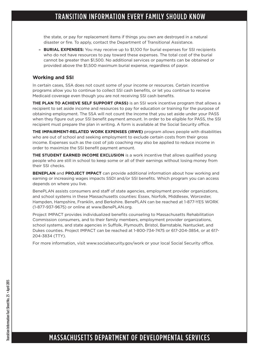the state, or pay for replacement items if things you own are destroyed in a natural disaster or fire. To apply, contact the Department of Transitional Assistance.

» **BURIAL EXPENSES:** You may receive up to \$1,100 for burial expenses for SSI recipients who do not have resources to pay toward these expenses. The total cost of the burial cannot be greater than \$1,500. No additional services or payments can be obtained or provided above the \$1,500 maximum burial expense, regardless of payor.

#### **Working and SSI**

In certain cases, SSA does not count some of your income or resources. Certain incentive programs allow you to continue to collect SSI cash benefits, or let you continue to receive Medicaid coverage even though you are not receiving SSI cash benefits.

**THE PLAN TO ACHIEVE SELF SUPPORT (PASS)** is an SSI work incentive program that allows a recipient to set aside income and resources to pay for education or training for the purpose of obtaining employment. The SSA will not count the income that you set aside under your PASS when they figure out your SSI benefit payment amount. In order to be eligible for PASS, the SSI recipient must prepare the plan in writing. A form is available at the Social Security office.

**THE IMPAIRMENT-RELATED WORK EXPENSES (IRWE)** program allows people with disabilities who are out of school and seeking employment to exclude certain costs from their gross income. Expenses such as the cost of job coaching may also be applied to reduce income in order to maximize the SSI benefit payment amount.

**THE STUDENT EARNED INCOME EXCLUSION** is a work incentive that allows qualified young people who are still in school to keep some or all of their earnings without losing money from their SSI checks.

**BENEPLAN** and **PROJECT IMPACT** can provide additional information about how working and earning or increasing wages impacts SSDI and/or SSI benefits. Which program you can access depends on where you live.

BenePLAN assists consumers and staff of state agencies, employment provider organizations, and school systems in these Massachusetts counties: Essex, Norfolk, Middlesex, Worcester, Hampden, Hampshire, Franklin, and Berkshire. BenePLAN can be reached at 1-877-YES WORK (1-877-937-9675) or online at www.BenePLAN.org.

Project IMPACT provides individualized benefits counseling to Massachusetts Rehabilitation Commission consumers, and to their family members, employment provider organizations, school systems, and state agencies in Suffolk, Plymouth, Bristol, Barnstable, Nantucket, and Dukes counties. Project IMPACT can be reached at 1-800-734-7475 or 617-204-3854, or at 617- 204-3834 (TTY).

For more information, visit www.socialsecurity.gov/work or your local Social Security office.